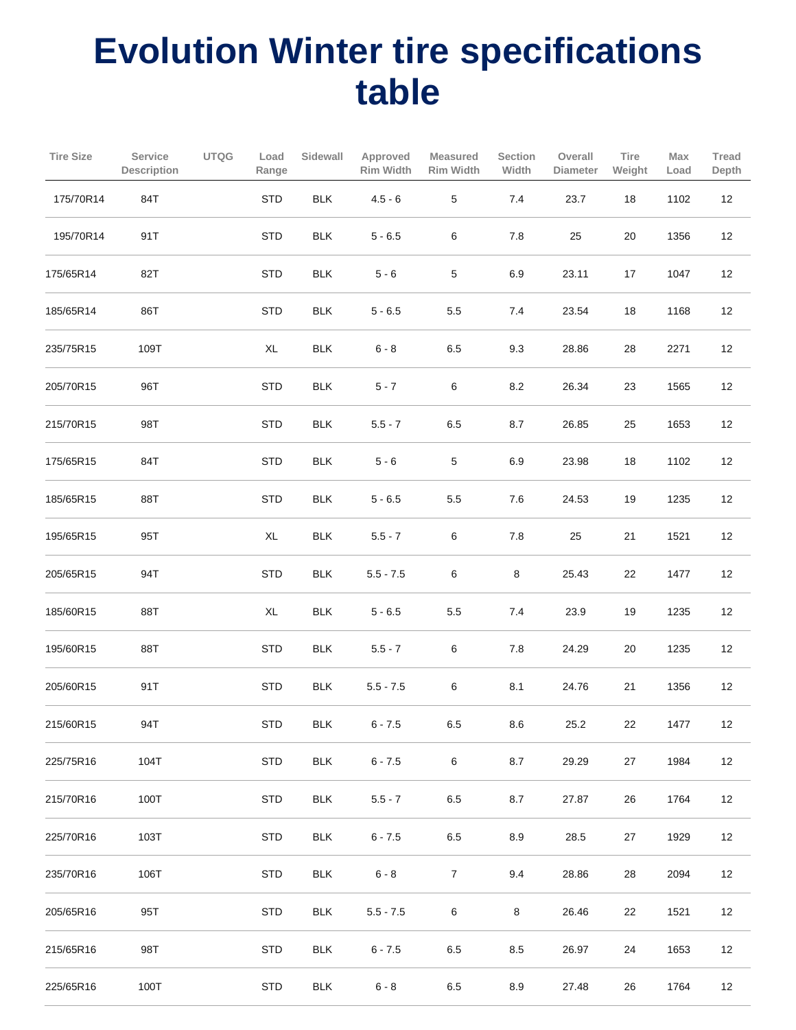## **Evolution Winter tire specifications table**

| <b>Tire Size</b> | Service<br>Description | <b>UTQG</b> | Load<br>Range | Sidewall   | Approved<br>Rim Width | <b>Measured</b><br>Rim Width | <b>Section</b><br>Width | Overall<br><b>Diameter</b> | Tire<br>Weight | Max<br>Load | Tread<br>Depth |
|------------------|------------------------|-------------|---------------|------------|-----------------------|------------------------------|-------------------------|----------------------------|----------------|-------------|----------------|
| 175/70R14        | 84T                    |             | STD           | <b>BLK</b> | $4.5 - 6$             | $\,$ 5 $\,$                  | $7.4$                   | 23.7                       | $18$           | 1102        | 12             |
| 195/70R14        | 91T                    |             | <b>STD</b>    | <b>BLK</b> | $5 - 6.5$             | 6                            | $7.8$                   | 25                         | 20             | 1356        | 12             |
| 175/65R14        | 82T                    |             | <b>STD</b>    | <b>BLK</b> | $5 - 6$               | 5                            | 6.9                     | 23.11                      | 17             | 1047        | 12             |
| 185/65R14        | 86T                    |             | <b>STD</b>    | <b>BLK</b> | $5 - 6.5$             | $5.5\,$                      | 7.4                     | 23.54                      | 18             | 1168        | 12             |
| 235/75R15        | 109T                   |             | XL            | <b>BLK</b> | $6 - 8$               | $6.5\,$                      | 9.3                     | 28.86                      | 28             | 2271        | 12             |
| 205/70R15        | 96T                    |             | <b>STD</b>    | <b>BLK</b> | $5 - 7$               | $\,6\,$                      | 8.2                     | 26.34                      | 23             | 1565        | 12             |
| 215/70R15        | 98T                    |             | <b>STD</b>    | <b>BLK</b> | $5.5 - 7$             | $6.5\,$                      | 8.7                     | 26.85                      | 25             | 1653        | 12             |
| 175/65R15        | 84T                    |             | <b>STD</b>    | <b>BLK</b> | $5 - 6$               | 5                            | 6.9                     | 23.98                      | 18             | 1102        | 12             |
| 185/65R15        | 88T                    |             | <b>STD</b>    | <b>BLK</b> | $5 - 6.5$             | 5.5                          | 7.6                     | 24.53                      | 19             | 1235        | 12             |
| 195/65R15        | 95T                    |             | XL            | <b>BLK</b> | $5.5 - 7$             | $\,6\,$                      | $7.8\,$                 | 25                         | 21             | 1521        | 12             |
| 205/65R15        | 94T                    |             | <b>STD</b>    | <b>BLK</b> | $5.5 - 7.5$           | 6                            | $\bf 8$                 | 25.43                      | 22             | 1477        | 12             |
| 185/60R15        | 88T                    |             | XL            | <b>BLK</b> | $5 - 6.5$             | $5.5\,$                      | 7.4                     | 23.9                       | 19             | 1235        | 12             |
| 195/60R15        | 88T                    |             | <b>STD</b>    | <b>BLK</b> | $5.5 - 7$             | 6                            | $7.8\,$                 | 24.29                      | 20             | 1235        | 12             |
| 205/60R15        | 91T                    |             | <b>STD</b>    | <b>BLK</b> | $5.5 - 7.5$           | 6                            | 8.1                     | 24.76                      | 21             | 1356        | 12             |
| 215/60R15        | 94T                    |             | <b>STD</b>    | <b>BLK</b> | $6 - 7.5$             | 6.5                          | 8.6                     | 25.2                       | 22             | 1477        | 12             |
| 225/75R16        | 104T                   |             | <b>STD</b>    | <b>BLK</b> | $6 - 7.5$             | 6                            | 8.7                     | 29.29                      | 27             | 1984        | 12             |
| 215/70R16        | 100T                   |             | <b>STD</b>    | <b>BLK</b> | $5.5 - 7$             | $6.5\,$                      | 8.7                     | 27.87                      | 26             | 1764        | 12             |
| 225/70R16        | 103T                   |             | <b>STD</b>    | <b>BLK</b> | $6 - 7.5$             | 6.5                          | 8.9                     | 28.5                       | 27             | 1929        | 12             |
| 235/70R16        | 106T                   |             | <b>STD</b>    | <b>BLK</b> | $6 - 8$               | $\boldsymbol{7}$             | 9.4                     | 28.86                      | 28             | 2094        | 12             |
| 205/65R16        | 95T                    |             | <b>STD</b>    | <b>BLK</b> | $5.5 - 7.5$           | $\,6\,$                      | 8                       | 26.46                      | 22             | 1521        | 12             |
| 215/65R16        | 98T                    |             | <b>STD</b>    | <b>BLK</b> | $6 - 7.5$             | 6.5                          | 8.5                     | 26.97                      | 24             | 1653        | 12             |
| 225/65R16        | 100T                   |             | <b>STD</b>    | <b>BLK</b> | $6 - 8$               | $6.5\,$                      | 8.9                     | 27.48                      | 26             | 1764        | 12             |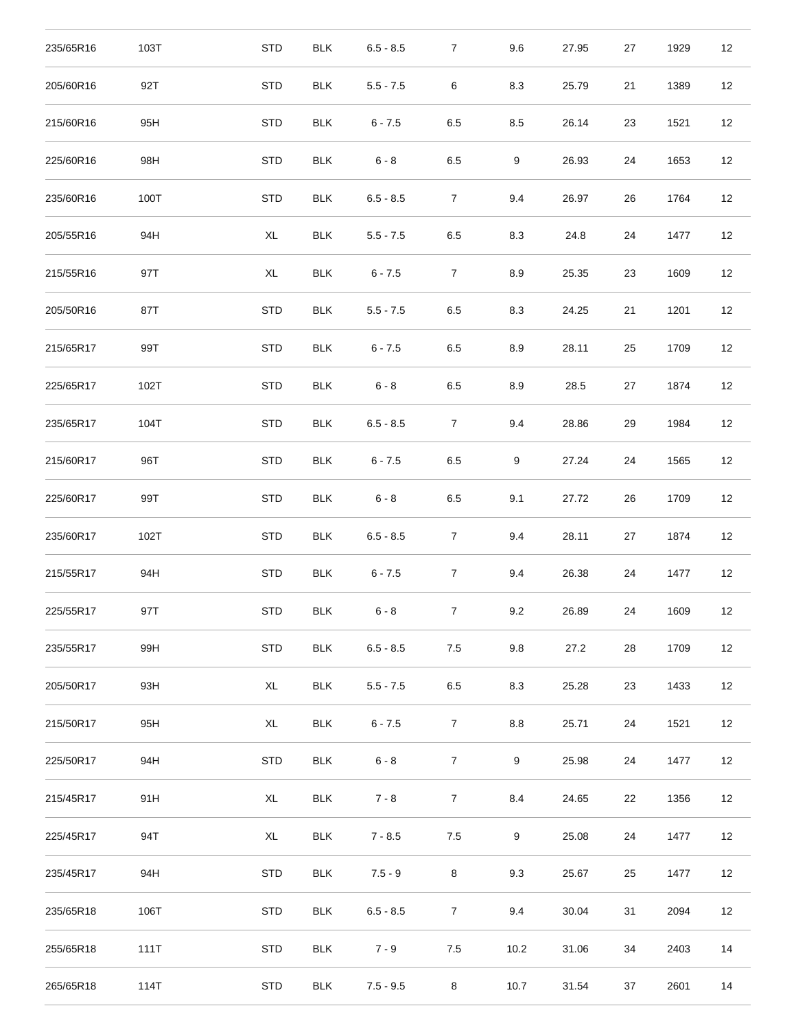| 235/65R16 | 103T | <b>STD</b> | <b>BLK</b> | $6.5 - 8.5$ | $\overline{7}$ | 9.6              | 27.95 | 27 | 1929 | 12 |
|-----------|------|------------|------------|-------------|----------------|------------------|-------|----|------|----|
| 205/60R16 | 92T  | <b>STD</b> | <b>BLK</b> | $5.5 - 7.5$ | $\,6\,$        | 8.3              | 25.79 | 21 | 1389 | 12 |
| 215/60R16 | 95H  | <b>STD</b> | <b>BLK</b> | $6 - 7.5$   | 6.5            | 8.5              | 26.14 | 23 | 1521 | 12 |
| 225/60R16 | 98H  | <b>STD</b> | <b>BLK</b> | $6 - 8$     | $6.5\,$        | $\boldsymbol{9}$ | 26.93 | 24 | 1653 | 12 |
| 235/60R16 | 100T | <b>STD</b> | <b>BLK</b> | $6.5 - 8.5$ | $\overline{7}$ | 9.4              | 26.97 | 26 | 1764 | 12 |
| 205/55R16 | 94H  | XL         | <b>BLK</b> | $5.5 - 7.5$ | 6.5            | 8.3              | 24.8  | 24 | 1477 | 12 |
| 215/55R16 | 97T  | XL         | <b>BLK</b> | $6 - 7.5$   | $\overline{7}$ | 8.9              | 25.35 | 23 | 1609 | 12 |
| 205/50R16 | 87T  | <b>STD</b> | <b>BLK</b> | $5.5 - 7.5$ | 6.5            | 8.3              | 24.25 | 21 | 1201 | 12 |
| 215/65R17 | 99T  | <b>STD</b> | <b>BLK</b> | $6 - 7.5$   | $6.5\,$        | 8.9              | 28.11 | 25 | 1709 | 12 |
| 225/65R17 | 102T | <b>STD</b> | <b>BLK</b> | $6 - 8$     | 6.5            | 8.9              | 28.5  | 27 | 1874 | 12 |
| 235/65R17 | 104T | <b>STD</b> | <b>BLK</b> | $6.5 - 8.5$ | $\overline{7}$ | 9.4              | 28.86 | 29 | 1984 | 12 |
| 215/60R17 | 96T  | <b>STD</b> | <b>BLK</b> | $6 - 7.5$   | 6.5            | $\boldsymbol{9}$ | 27.24 | 24 | 1565 | 12 |
| 225/60R17 | 99T  | <b>STD</b> | <b>BLK</b> | $6 - 8$     | 6.5            | 9.1              | 27.72 | 26 | 1709 | 12 |
| 235/60R17 | 102T | <b>STD</b> | <b>BLK</b> | $6.5 - 8.5$ | $\overline{7}$ | 9.4              | 28.11 | 27 | 1874 | 12 |
| 215/55R17 | 94H  | <b>STD</b> | <b>BLK</b> | $6 - 7.5$   | $\overline{7}$ | 9.4              | 26.38 | 24 | 1477 | 12 |
| 225/55R17 | 97T  | <b>STD</b> | <b>BLK</b> | $6 - 8$     | 7              | 9.2              | 26.89 | 24 | 1609 | 12 |
| 235/55R17 | 99H  | <b>STD</b> | <b>BLK</b> | $6.5 - 8.5$ | 7.5            | 9.8              | 27.2  | 28 | 1709 | 12 |
| 205/50R17 | 93H  | XL         | <b>BLK</b> | $5.5 - 7.5$ | 6.5            | 8.3              | 25.28 | 23 | 1433 | 12 |
| 215/50R17 | 95H  | XL         | <b>BLK</b> | $6 - 7.5$   | $\overline{7}$ | 8.8              | 25.71 | 24 | 1521 | 12 |
| 225/50R17 | 94H  | <b>STD</b> | <b>BLK</b> | $6 - 8$     | $\overline{7}$ | $\boldsymbol{9}$ | 25.98 | 24 | 1477 | 12 |
| 215/45R17 | 91H  | XL         | <b>BLK</b> | $7 - 8$     | $\overline{7}$ | 8.4              | 24.65 | 22 | 1356 | 12 |
| 225/45R17 | 94T  | XL         | <b>BLK</b> | $7 - 8.5$   | 7.5            | 9                | 25.08 | 24 | 1477 | 12 |
| 235/45R17 | 94H  | <b>STD</b> | <b>BLK</b> | $7.5 - 9$   | 8              | 9.3              | 25.67 | 25 | 1477 | 12 |
| 235/65R18 | 106T | <b>STD</b> | <b>BLK</b> | $6.5 - 8.5$ | $\overline{7}$ | 9.4              | 30.04 | 31 | 2094 | 12 |
| 255/65R18 | 111T | <b>STD</b> | <b>BLK</b> | $7 - 9$     | 7.5            | 10.2             | 31.06 | 34 | 2403 | 14 |
| 265/65R18 | 114T | <b>STD</b> | <b>BLK</b> | $7.5 - 9.5$ | 8              | 10.7             | 31.54 | 37 | 2601 | 14 |